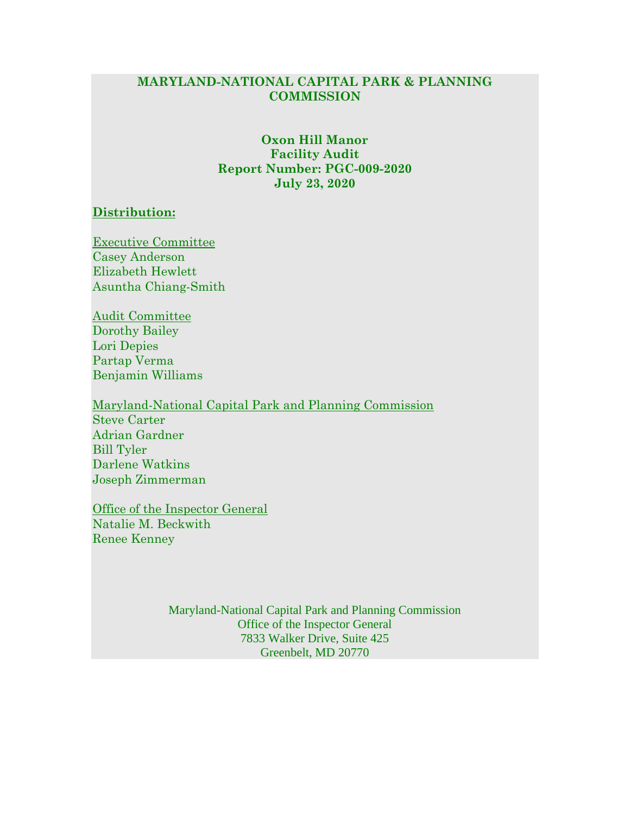## **MARYLAND-NATIONAL CAPITAL PARK & PLANNING COMMISSION**

### **Oxon Hill Manor Facility Audit Report Number: PGC-009-2020 July 23, 2020**

#### **Distribution:**

Executive Committee Casey Anderson Elizabeth Hewlett Asuntha Chiang-Smith

Audit Committee Dorothy Bailey Lori Depies Partap Verma Benjamin Williams

Maryland-National Capital Park and Planning Commission Steve Carter Adrian Gardner Bill Tyler Darlene Watkins Joseph Zimmerman

Office of the Inspector General Natalie M. Beckwith Renee Kenney

> Maryland-National Capital Park and Planning Commission Office of the Inspector General 7833 Walker Drive, Suite 425 Greenbelt, MD 20770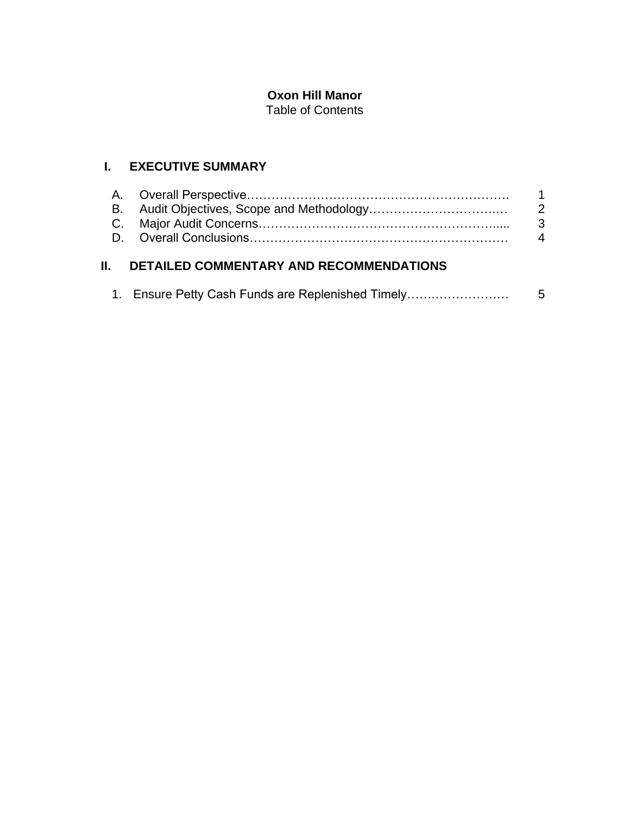# **Oxon Hill Manor**

Table of Contents

# **I. EXECUTIVE SUMMARY**

| $\overline{1}$ |
|----------------|
|                |
| - 3            |
|                |
|                |

# **II. DETAILED COMMENTARY AND RECOMMENDATIONS**

|  |  | 1. Ensure Petty Cash Funds are Replenished Timely |  |
|--|--|---------------------------------------------------|--|
|  |  |                                                   |  |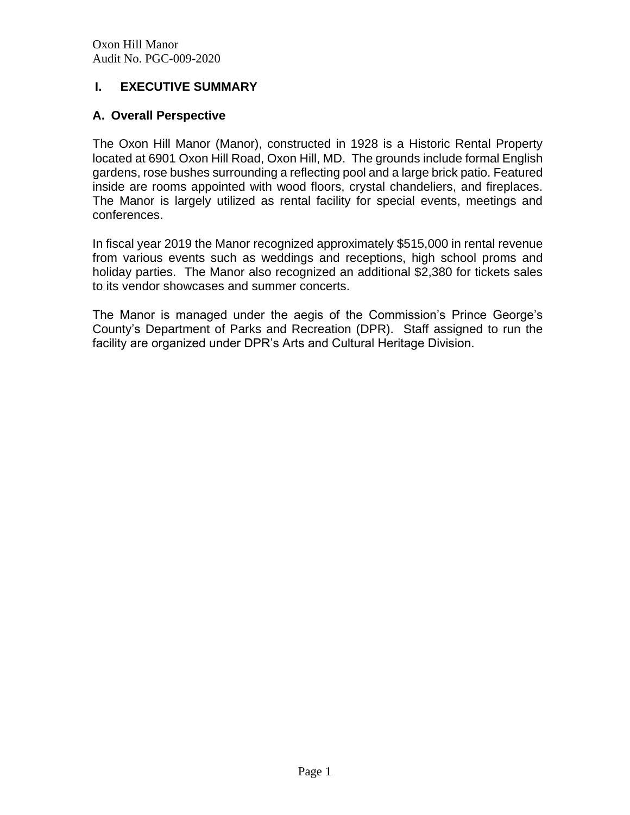## **I. EXECUTIVE SUMMARY**

## **A. Overall Perspective**

The Oxon Hill Manor (Manor), constructed in 1928 is a Historic Rental Property located at 6901 Oxon Hill Road, Oxon Hill, MD. The grounds include formal English gardens, rose bushes surrounding a reflecting pool and a large brick patio. Featured inside are rooms appointed with wood floors, crystal chandeliers, and fireplaces. The Manor is largely utilized as rental facility for special events, meetings and conferences.

In fiscal year 2019 the Manor recognized approximately \$515,000 in rental revenue from various events such as weddings and receptions, high school proms and holiday parties. The Manor also recognized an additional \$2,380 for tickets sales to its vendor showcases and summer concerts.

The Manor is managed under the aegis of the Commission's Prince George's County's Department of Parks and Recreation (DPR). Staff assigned to run the facility are organized under DPR's Arts and Cultural Heritage Division.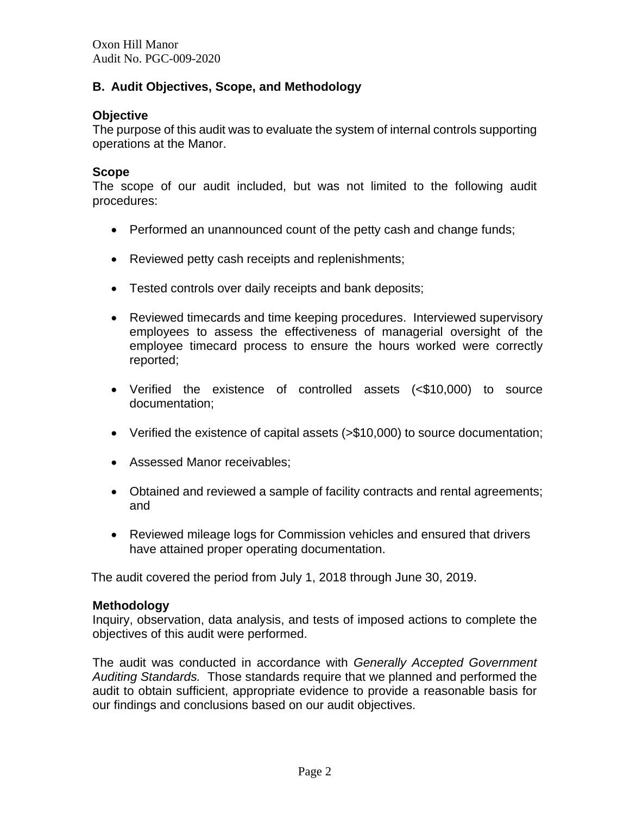## **B. Audit Objectives, Scope, and Methodology**

## **Objective**

The purpose of this audit was to evaluate the system of internal controls supporting operations at the Manor.

### **Scope**

The scope of our audit included, but was not limited to the following audit procedures:

- Performed an unannounced count of the petty cash and change funds;
- Reviewed petty cash receipts and replenishments;
- Tested controls over daily receipts and bank deposits;
- Reviewed timecards and time keeping procedures. Interviewed supervisory employees to assess the effectiveness of managerial oversight of the employee timecard process to ensure the hours worked were correctly reported;
- Verified the existence of controlled assets (<\$10,000) to source documentation;
- Verified the existence of capital assets (>\$10,000) to source documentation;
- Assessed Manor receivables;
- Obtained and reviewed a sample of facility contracts and rental agreements; and
- Reviewed mileage logs for Commission vehicles and ensured that drivers have attained proper operating documentation.

The audit covered the period from July 1, 2018 through June 30, 2019.

#### **Methodology**

Inquiry, observation, data analysis, and tests of imposed actions to complete the objectives of this audit were performed.

The audit was conducted in accordance with *Generally Accepted Government Auditing Standards.* Those standards require that we planned and performed the audit to obtain sufficient, appropriate evidence to provide a reasonable basis for our findings and conclusions based on our audit objectives.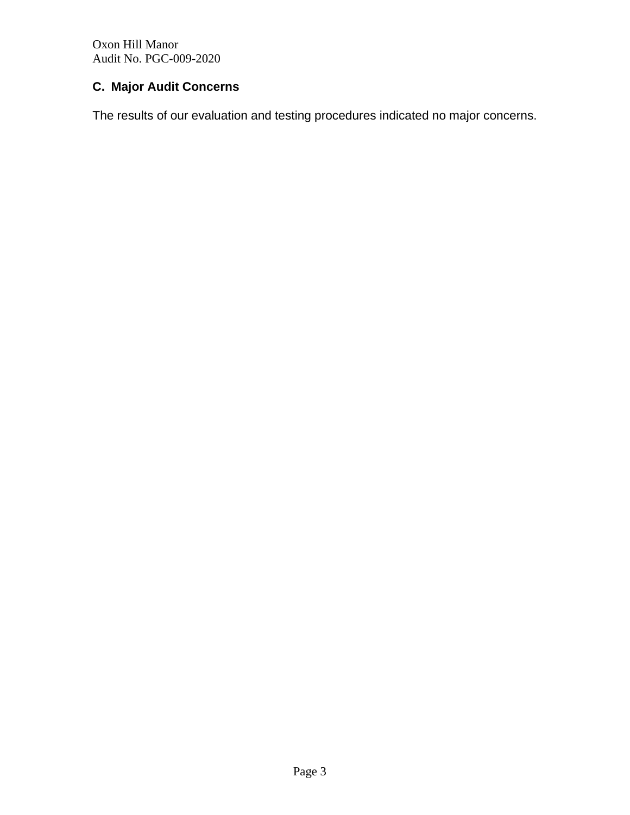Oxon Hill Manor Audit No. PGC-009-2020

# **C. Major Audit Concerns**

The results of our evaluation and testing procedures indicated no major concerns.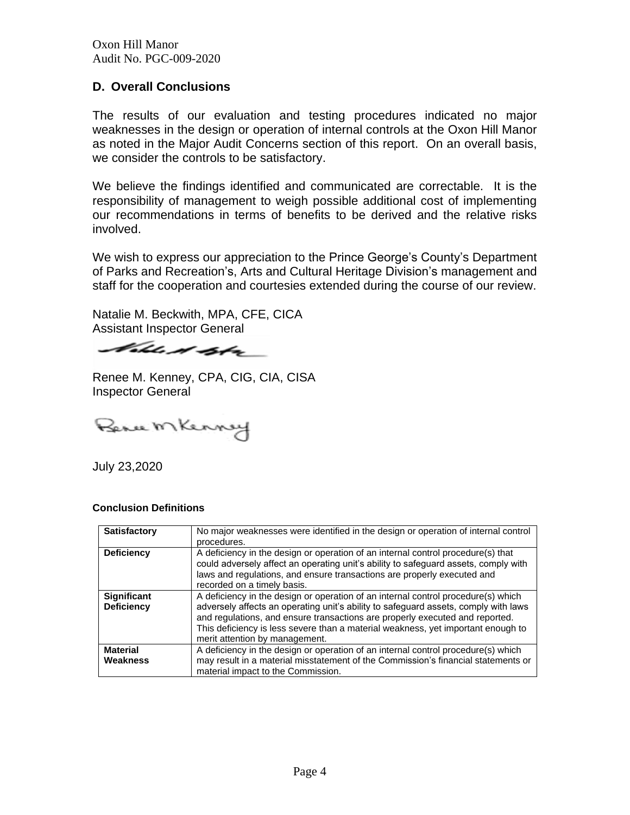Oxon Hill Manor Audit No. PGC-009-2020

### **D. Overall Conclusions**

The results of our evaluation and testing procedures indicated no major weaknesses in the design or operation of internal controls at the Oxon Hill Manor as noted in the Major Audit Concerns section of this report. On an overall basis, we consider the controls to be satisfactory.

We believe the findings identified and communicated are correctable. It is the responsibility of management to weigh possible additional cost of implementing our recommendations in terms of benefits to be derived and the relative risks involved.

We wish to express our appreciation to the Prince George's County's Department of Parks and Recreation's, Arts and Cultural Heritage Division's management and staff for the cooperation and courtesies extended during the course of our review.

Natalie M. Beckwith, MPA, CFE, CICA Assistant Inspector General

Vohle di dobre

Renee M. Kenney, CPA, CIG, CIA, CISA Inspector General

Penu Mkenny

July 23,2020

#### **Conclusion Definitions**

| <b>Satisfactory</b>                     | No major weaknesses were identified in the design or operation of internal control<br>procedures.                                                                                                                                                                                                                                                                              |
|-----------------------------------------|--------------------------------------------------------------------------------------------------------------------------------------------------------------------------------------------------------------------------------------------------------------------------------------------------------------------------------------------------------------------------------|
| <b>Deficiency</b>                       | A deficiency in the design or operation of an internal control procedure(s) that<br>could adversely affect an operating unit's ability to safeguard assets, comply with<br>laws and regulations, and ensure transactions are properly executed and<br>recorded on a timely basis.                                                                                              |
| <b>Significant</b><br><b>Deficiency</b> | A deficiency in the design or operation of an internal control procedure(s) which<br>adversely affects an operating unit's ability to safeguard assets, comply with laws<br>and regulations, and ensure transactions are properly executed and reported.<br>This deficiency is less severe than a material weakness, yet important enough to<br>merit attention by management. |
| <b>Material</b><br>Weakness             | A deficiency in the design or operation of an internal control procedure(s) which<br>may result in a material misstatement of the Commission's financial statements or<br>material impact to the Commission.                                                                                                                                                                   |